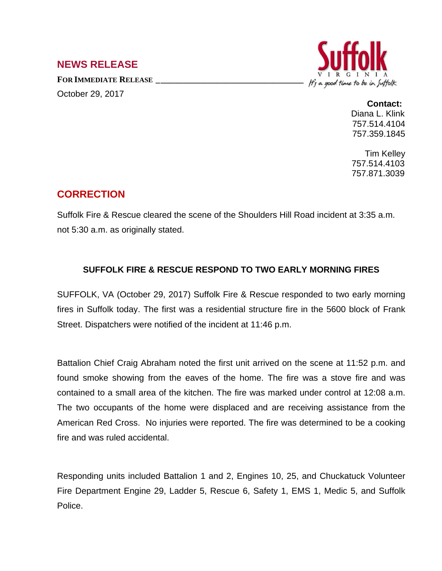## **NEWS RELEASE**

**FOR IMMEDIATE RELEASE \_\_\_\_\_\_\_\_\_\_\_\_\_\_\_\_\_\_\_\_\_\_\_\_\_\_\_\_\_\_\_\_\_\_** October 29, 2017



**Contact:** Diana L. Klink 757.514.4104 757.359.1845

Tim Kelley 757.514.4103 757.871.3039

## **CORRECTION**

Suffolk Fire & Rescue cleared the scene of the Shoulders Hill Road incident at 3:35 a.m. not 5:30 a.m. as originally stated.

## **SUFFOLK FIRE & RESCUE RESPOND TO TWO EARLY MORNING FIRES**

SUFFOLK, VA (October 29, 2017) Suffolk Fire & Rescue responded to two early morning fires in Suffolk today. The first was a residential structure fire in the 5600 block of Frank Street. Dispatchers were notified of the incident at 11:46 p.m.

Battalion Chief Craig Abraham noted the first unit arrived on the scene at 11:52 p.m. and found smoke showing from the eaves of the home. The fire was a stove fire and was contained to a small area of the kitchen. The fire was marked under control at 12:08 a.m. The two occupants of the home were displaced and are receiving assistance from the American Red Cross. No injuries were reported. The fire was determined to be a cooking fire and was ruled accidental.

Responding units included Battalion 1 and 2, Engines 10, 25, and Chuckatuck Volunteer Fire Department Engine 29, Ladder 5, Rescue 6, Safety 1, EMS 1, Medic 5, and Suffolk Police.